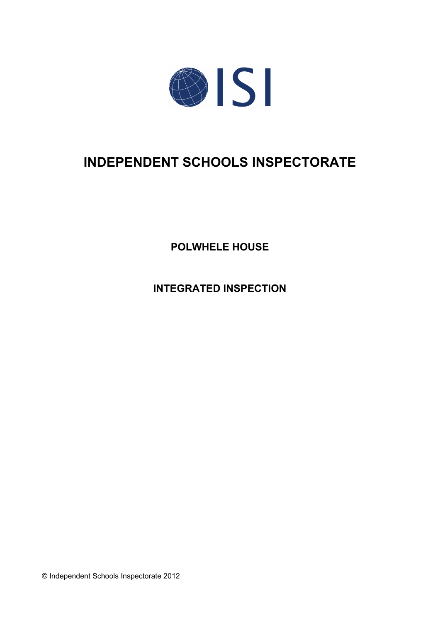

# **INDEPENDENT SCHOOLS INSPECTORATE**

**POLWHELE HOUSE**

**INTEGRATED INSPECTION**

© Independent Schools Inspectorate 2012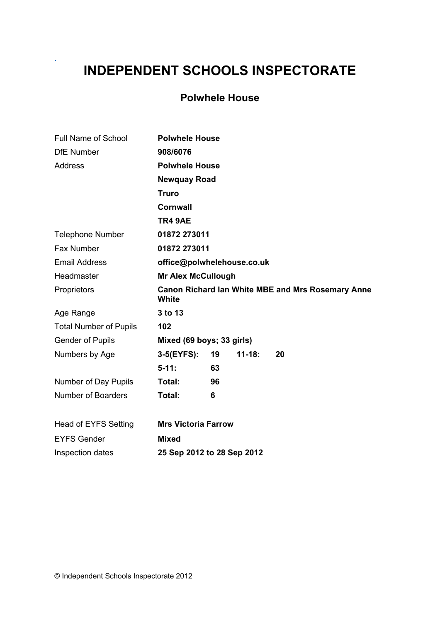# **INDEPENDENT SCHOOLS INSPECTORATE**

.

# **Polwhele House**

| Full Name of School           | <b>Polwhele House</b>      |    |            |                                                          |  |
|-------------------------------|----------------------------|----|------------|----------------------------------------------------------|--|
| <b>DfE</b> Number             | 908/6076                   |    |            |                                                          |  |
| Address                       | <b>Polwhele House</b>      |    |            |                                                          |  |
|                               | <b>Newquay Road</b>        |    |            |                                                          |  |
|                               | <b>Truro</b>               |    |            |                                                          |  |
|                               | <b>Cornwall</b>            |    |            |                                                          |  |
|                               | TR4 9AE                    |    |            |                                                          |  |
| <b>Telephone Number</b>       | 01872 273011               |    |            |                                                          |  |
| <b>Fax Number</b>             | 01872 273011               |    |            |                                                          |  |
| <b>Email Address</b>          | office@polwhelehouse.co.uk |    |            |                                                          |  |
| Headmaster                    | <b>Mr Alex McCullough</b>  |    |            |                                                          |  |
| Proprietors                   | <b>White</b>               |    |            | <b>Canon Richard lan White MBE and Mrs Rosemary Anne</b> |  |
| Age Range                     | 3 to 13                    |    |            |                                                          |  |
| <b>Total Number of Pupils</b> | 102                        |    |            |                                                          |  |
| <b>Gender of Pupils</b>       | Mixed (69 boys; 33 girls)  |    |            |                                                          |  |
| Numbers by Age                | $3-5(EYFS)$ :              | 19 | $11 - 18:$ | 20                                                       |  |
|                               | $5 - 11:$                  | 63 |            |                                                          |  |
| Number of Day Pupils          | Total:                     | 96 |            |                                                          |  |
| <b>Number of Boarders</b>     | Total:                     | 6  |            |                                                          |  |
| Head of EYFS Setting          | <b>Mrs Victoria Farrow</b> |    |            |                                                          |  |
| <b>EYFS Gender</b>            | <b>Mixed</b>               |    |            |                                                          |  |
| Inspection dates              | 25 Sep 2012 to 28 Sep 2012 |    |            |                                                          |  |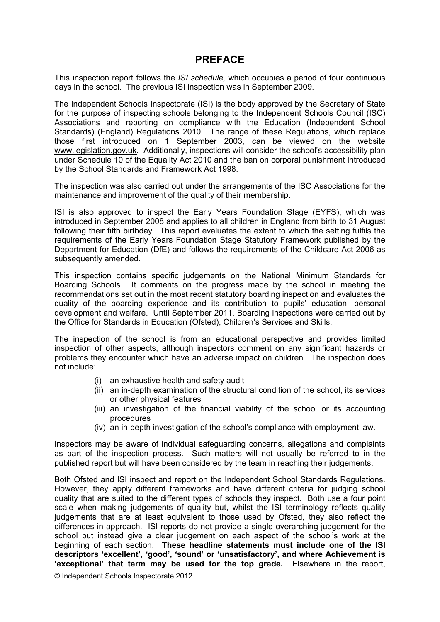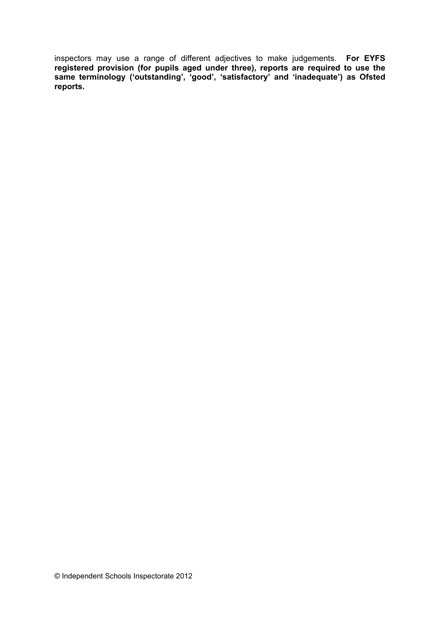inspectors may use a range of different adjectives to make judgements. **For EYFS registered provision (for pupils aged under three), reports are required to use the same terminology ('outstanding', 'good', 'satisfactory' and 'inadequate') as Ofsted reports.**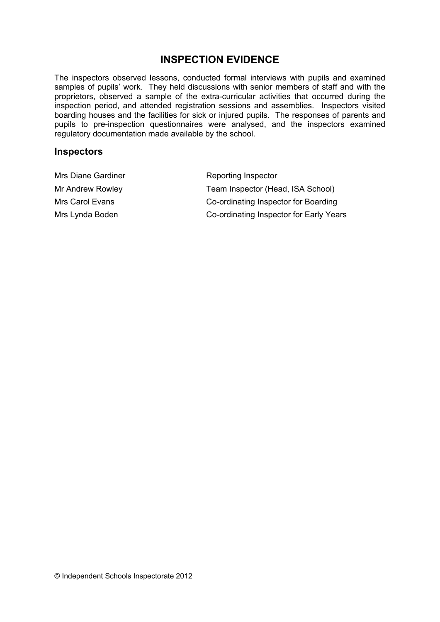## **INSPECTION EVIDENCE**

The inspectors observed lessons, conducted formal interviews with pupils and examined samples of pupils' work. They held discussions with senior members of staff and with the proprietors, observed a sample of the extra-curricular activities that occurred during the inspection period, and attended registration sessions and assemblies. Inspectors visited boarding houses and the facilities for sick or injured pupils. The responses of parents and pupils to pre-inspection questionnaires were analysed, and the inspectors examined regulatory documentation made available by the school.

#### **Inspectors**

| Mrs Diane Gardiner | Reporting Inspector                     |
|--------------------|-----------------------------------------|
| Mr Andrew Rowley   | Team Inspector (Head, ISA School)       |
| Mrs Carol Evans    | Co-ordinating Inspector for Boarding    |
| Mrs Lynda Boden    | Co-ordinating Inspector for Early Years |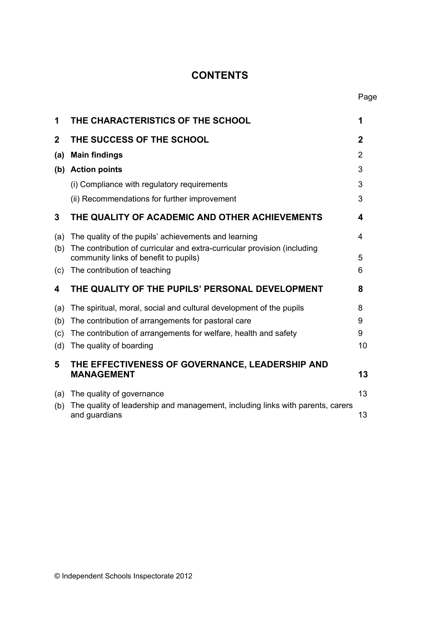# **CONTENTS**

| 1           | THE CHARACTERISTICS OF THE SCHOOL                                                                                 | 1           |
|-------------|-------------------------------------------------------------------------------------------------------------------|-------------|
| $\mathbf 2$ | THE SUCCESS OF THE SCHOOL                                                                                         | $\mathbf 2$ |
| (a)         | <b>Main findings</b>                                                                                              | 2           |
|             | (b) Action points                                                                                                 | 3           |
|             | (i) Compliance with regulatory requirements                                                                       | 3           |
|             | (ii) Recommendations for further improvement                                                                      | 3           |
| 3           | THE QUALITY OF ACADEMIC AND OTHER ACHIEVEMENTS                                                                    | 4           |
| (a)         | The quality of the pupils' achievements and learning                                                              | 4           |
| (b)         | The contribution of curricular and extra-curricular provision (including<br>community links of benefit to pupils) | 5           |
| (c)         | The contribution of teaching                                                                                      | 6           |
| 4           | THE QUALITY OF THE PUPILS' PERSONAL DEVELOPMENT                                                                   | 8           |
| (a)         | The spiritual, moral, social and cultural development of the pupils                                               | 8           |
| (b)         | The contribution of arrangements for pastoral care                                                                | 9           |
| (c)         | The contribution of arrangements for welfare, health and safety                                                   | 9           |
| (d)         | The quality of boarding                                                                                           | 10          |
| 5           | THE EFFECTIVENESS OF GOVERNANCE, LEADERSHIP AND<br><b>MANAGEMENT</b>                                              | 13          |
| (a)         | The quality of governance                                                                                         | 13          |
| (b)         | The quality of leadership and management, including links with parents, carers<br>and guardians                   | 13          |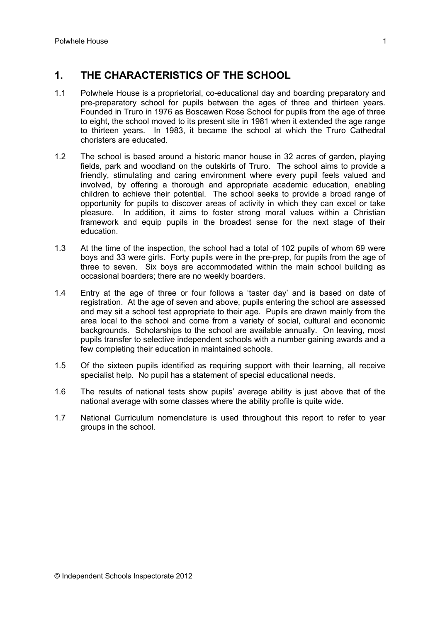# **1. THE CHARACTERISTICS OF THE SCHOOL**

- 1.1 Polwhele House is a proprietorial, co-educational day and boarding preparatory and pre-preparatory school for pupils between the ages of three and thirteen years. Founded in Truro in 1976 as Boscawen Rose School for pupils from the age of three to eight, the school moved to its present site in 1981 when it extended the age range to thirteen years. In 1983, it became the school at which the Truro Cathedral choristers are educated.
- 1.2 The school is based around a historic manor house in 32 acres of garden, playing fields, park and woodland on the outskirts of Truro. The school aims to provide a friendly, stimulating and caring environment where every pupil feels valued and involved, by offering a thorough and appropriate academic education, enabling children to achieve their potential. The school seeks to provide a broad range of opportunity for pupils to discover areas of activity in which they can excel or take pleasure. In addition, it aims to foster strong moral values within a Christian framework and equip pupils in the broadest sense for the next stage of their education.
- 1.3 At the time of the inspection, the school had a total of 102 pupils of whom 69 were boys and 33 were girls. Forty pupils were in the pre-prep, for pupils from the age of three to seven. Six boys are accommodated within the main school building as occasional boarders; there are no weekly boarders.
- 1.4 Entry at the age of three or four follows a 'taster day' and is based on date of registration. At the age of seven and above, pupils entering the school are assessed and may sit a school test appropriate to their age. Pupils are drawn mainly from the area local to the school and come from a variety of social, cultural and economic backgrounds. Scholarships to the school are available annually. On leaving, most pupils transfer to selective independent schools with a number gaining awards and a few completing their education in maintained schools.
- 1.5 Of the sixteen pupils identified as requiring support with their learning, all receive specialist help. No pupil has a statement of special educational needs.
- 1.6 The results of national tests show pupils' average ability is just above that of the national average with some classes where the ability profile is quite wide.
- 1.7 National Curriculum nomenclature is used throughout this report to refer to year groups in the school.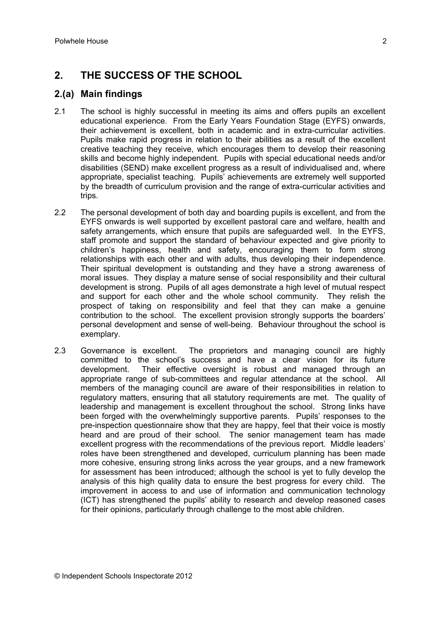## **2. THE SUCCESS OF THE SCHOOL**

#### **2.(a) Main findings**

- 2.1 The school is highly successful in meeting its aims and offers pupils an excellent educational experience. From the Early Years Foundation Stage (EYFS) onwards, their achievement is excellent, both in academic and in extra-curricular activities. Pupils make rapid progress in relation to their abilities as a result of the excellent creative teaching they receive, which encourages them to develop their reasoning skills and become highly independent. Pupils with special educational needs and/or disabilities (SEND) make excellent progress as a result of individualised and, where appropriate, specialist teaching. Pupils' achievements are extremely well supported by the breadth of curriculum provision and the range of extra-curricular activities and trips.
- 2.2 The personal development of both day and boarding pupils is excellent, and from the EYFS onwards is well supported by excellent pastoral care and welfare, health and safety arrangements, which ensure that pupils are safeguarded well. In the EYFS, staff promote and support the standard of behaviour expected and give priority to children's happiness, health and safety, encouraging them to form strong relationships with each other and with adults, thus developing their independence. Their spiritual development is outstanding and they have a strong awareness of moral issues. They display a mature sense of social responsibility and their cultural development is strong. Pupils of all ages demonstrate a high level of mutual respect and support for each other and the whole school community. They relish the prospect of taking on responsibility and feel that they can make a genuine contribution to the school. The excellent provision strongly supports the boarders' personal development and sense of well-being. Behaviour throughout the school is exemplary.
- 2.3 Governance is excellent. The proprietors and managing council are highly committed to the school's success and have a clear vision for its future development. Their effective oversight is robust and managed through an appropriate range of sub-committees and regular attendance at the school. All members of the managing council are aware of their responsibilities in relation to regulatory matters, ensuring that all statutory requirements are met. The quality of leadership and management is excellent throughout the school. Strong links have been forged with the overwhelmingly supportive parents. Pupils' responses to the pre-inspection questionnaire show that they are happy, feel that their voice is mostly heard and are proud of their school. The senior management team has made excellent progress with the recommendations of the previous report. Middle leaders' roles have been strengthened and developed, curriculum planning has been made more cohesive, ensuring strong links across the year groups, and a new framework for assessment has been introduced; although the school is yet to fully develop the analysis of this high quality data to ensure the best progress for every child. The improvement in access to and use of information and communication technology (ICT) has strengthened the pupils' ability to research and develop reasoned cases for their opinions, particularly through challenge to the most able children.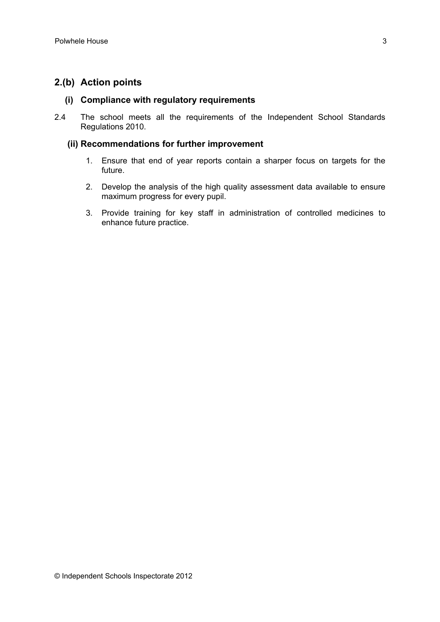## **2.(b) Action points**

#### **(i) Compliance with regulatory requirements**

2.4 The school meets all the requirements of the Independent School Standards Regulations 2010.

#### **(ii) Recommendations for further improvement**

- 1. Ensure that end of year reports contain a sharper focus on targets for the future.
- 2. Develop the analysis of the high quality assessment data available to ensure maximum progress for every pupil.
- 3. Provide training for key staff in administration of controlled medicines to enhance future practice.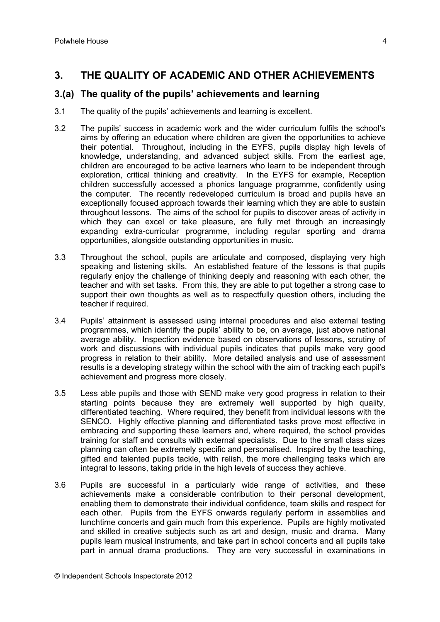## **3. THE QUALITY OF ACADEMIC AND OTHER ACHIEVEMENTS**

#### **3.(a) The quality of the pupils' achievements and learning**

- 3.1 The quality of the pupils' achievements and learning is excellent.
- 3.2 The pupils' success in academic work and the wider curriculum fulfils the school's aims by offering an education where children are given the opportunities to achieve their potential. Throughout, including in the EYFS, pupils display high levels of knowledge, understanding, and advanced subject skills. From the earliest age, children are encouraged to be active learners who learn to be independent through exploration, critical thinking and creativity. In the EYFS for example, Reception children successfully accessed a phonics language programme, confidently using the computer. The recently redeveloped curriculum is broad and pupils have an exceptionally focused approach towards their learning which they are able to sustain throughout lessons. The aims of the school for pupils to discover areas of activity in which they can excel or take pleasure, are fully met through an increasingly expanding extra-curricular programme, including regular sporting and drama opportunities, alongside outstanding opportunities in music.
- 3.3 Throughout the school, pupils are articulate and composed, displaying very high speaking and listening skills. An established feature of the lessons is that pupils regularly enjoy the challenge of thinking deeply and reasoning with each other, the teacher and with set tasks. From this, they are able to put together a strong case to support their own thoughts as well as to respectfully question others, including the teacher if required.
- 3.4 Pupils' attainment is assessed using internal procedures and also external testing programmes, which identify the pupils' ability to be, on average, just above national average ability. Inspection evidence based on observations of lessons, scrutiny of work and discussions with individual pupils indicates that pupils make very good progress in relation to their ability. More detailed analysis and use of assessment results is a developing strategy within the school with the aim of tracking each pupil's achievement and progress more closely.
- 3.5 Less able pupils and those with SEND make very good progress in relation to their starting points because they are extremely well supported by high quality, differentiated teaching. Where required, they benefit from individual lessons with the SENCO. Highly effective planning and differentiated tasks prove most effective in embracing and supporting these learners and, where required, the school provides training for staff and consults with external specialists. Due to the small class sizes planning can often be extremely specific and personalised. Inspired by the teaching, gifted and talented pupils tackle, with relish, the more challenging tasks which are integral to lessons, taking pride in the high levels of success they achieve.
- 3.6 Pupils are successful in a particularly wide range of activities, and these achievements make a considerable contribution to their personal development, enabling them to demonstrate their individual confidence, team skills and respect for each other. Pupils from the EYFS onwards regularly perform in assemblies and lunchtime concerts and gain much from this experience. Pupils are highly motivated and skilled in creative subjects such as art and design, music and drama. Many pupils learn musical instruments, and take part in school concerts and all pupils take part in annual drama productions. They are very successful in examinations in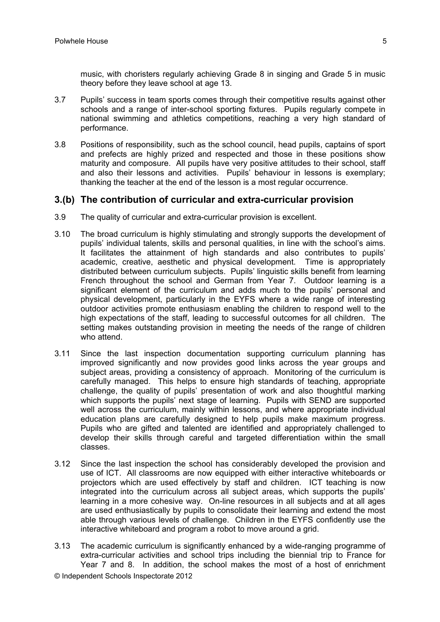music, with choristers regularly achieving Grade 8 in singing and Grade 5 in music theory before they leave school at age 13.

- 3.7 Pupils' success in team sports comes through their competitive results against other schools and a range of inter-school sporting fixtures. Pupils regularly compete in national swimming and athletics competitions, reaching a very high standard of performance.
- 3.8 Positions of responsibility, such as the school council, head pupils, captains of sport and prefects are highly prized and respected and those in these positions show maturity and composure. All pupils have very positive attitudes to their school, staff and also their lessons and activities. Pupils' behaviour in lessons is exemplary; thanking the teacher at the end of the lesson is a most regular occurrence.

#### **3.(b) The contribution of curricular and extra-curricular provision**

- 3.9 The quality of curricular and extra-curricular provision is excellent.
- 3.10 The broad curriculum is highly stimulating and strongly supports the development of pupils' individual talents, skills and personal qualities, in line with the school's aims. It facilitates the attainment of high standards and also contributes to pupils' academic, creative, aesthetic and physical development. Time is appropriately distributed between curriculum subjects. Pupils' linguistic skills benefit from learning French throughout the school and German from Year 7. Outdoor learning is a significant element of the curriculum and adds much to the pupils' personal and physical development, particularly in the EYFS where a wide range of interesting outdoor activities promote enthusiasm enabling the children to respond well to the high expectations of the staff, leading to successful outcomes for all children. The setting makes outstanding provision in meeting the needs of the range of children who attend.
- 3.11 Since the last inspection documentation supporting curriculum planning has improved significantly and now provides good links across the year groups and subject areas, providing a consistency of approach. Monitoring of the curriculum is carefully managed. This helps to ensure high standards of teaching, appropriate challenge, the quality of pupils' presentation of work and also thoughtful marking which supports the pupils' next stage of learning. Pupils with SEND are supported well across the curriculum, mainly within lessons, and where appropriate individual education plans are carefully designed to help pupils make maximum progress. Pupils who are gifted and talented are identified and appropriately challenged to develop their skills through careful and targeted differentiation within the small classes.
- 3.12 Since the last inspection the school has considerably developed the provision and use of ICT. All classrooms are now equipped with either interactive whiteboards or projectors which are used effectively by staff and children. ICT teaching is now integrated into the curriculum across all subject areas, which supports the pupils' learning in a more cohesive way. On-line resources in all subjects and at all ages are used enthusiastically by pupils to consolidate their learning and extend the most able through various levels of challenge. Children in the EYFS confidently use the interactive whiteboard and program a robot to move around a grid.
- 3.13 The academic curriculum is significantly enhanced by a wide-ranging programme of extra-curricular activities and school trips including the biennial trip to France for Year 7 and 8. In addition, the school makes the most of a host of enrichment

© Independent Schools Inspectorate 2012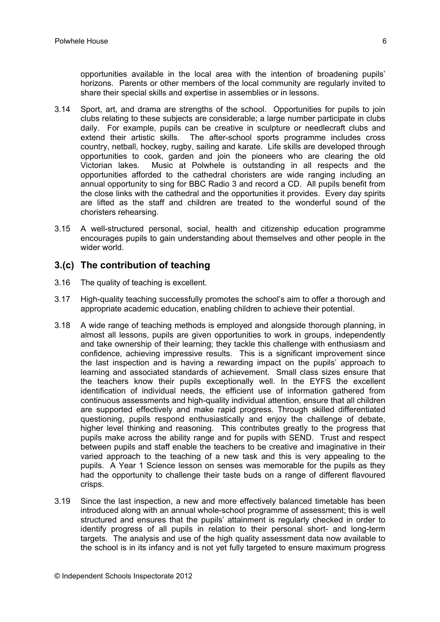opportunities available in the local area with the intention of broadening pupils' horizons. Parents or other members of the local community are regularly invited to share their special skills and expertise in assemblies or in lessons.

- 3.14 Sport, art, and drama are strengths of the school. Opportunities for pupils to join clubs relating to these subjects are considerable; a large number participate in clubs daily. For example, pupils can be creative in sculpture or needlecraft clubs and extend their artistic skills. The after-school sports programme includes cross country, netball, hockey, rugby, sailing and karate. Life skills are developed through opportunities to cook, garden and join the pioneers who are clearing the old Victorian lakes. Music at Polwhele is outstanding in all respects and the opportunities afforded to the cathedral choristers are wide ranging including an annual opportunity to sing for BBC Radio 3 and record a CD. All pupils benefit from the close links with the cathedral and the opportunities it provides. Every day spirits are lifted as the staff and children are treated to the wonderful sound of the choristers rehearsing.
- 3.15 A well-structured personal, social, health and citizenship education programme encourages pupils to gain understanding about themselves and other people in the wider world.

## **3.(c) The contribution of teaching**

- 3.16 The quality of teaching is excellent.
- 3.17 High-quality teaching successfully promotes the school's aim to offer a thorough and appropriate academic education, enabling children to achieve their potential.
- 3.18 A wide range of teaching methods is employed and alongside thorough planning, in almost all lessons, pupils are given opportunities to work in groups, independently and take ownership of their learning; they tackle this challenge with enthusiasm and confidence, achieving impressive results. This is a significant improvement since the last inspection and is having a rewarding impact on the pupils' approach to learning and associated standards of achievement. Small class sizes ensure that the teachers know their pupils exceptionally well. In the EYFS the excellent identification of individual needs, the efficient use of information gathered from continuous assessments and high-quality individual attention, ensure that all children are supported effectively and make rapid progress. Through skilled differentiated questioning, pupils respond enthusiastically and enjoy the challenge of debate, higher level thinking and reasoning. This contributes greatly to the progress that pupils make across the ability range and for pupils with SEND. Trust and respect between pupils and staff enable the teachers to be creative and imaginative in their varied approach to the teaching of a new task and this is very appealing to the pupils. A Year 1 Science lesson on senses was memorable for the pupils as they had the opportunity to challenge their taste buds on a range of different flavoured crisps.
- 3.19 Since the last inspection, a new and more effectively balanced timetable has been introduced along with an annual whole-school programme of assessment; this is well structured and ensures that the pupils' attainment is regularly checked in order to identify progress of all pupils in relation to their personal short- and long-term targets. The analysis and use of the high quality assessment data now available to the school is in its infancy and is not yet fully targeted to ensure maximum progress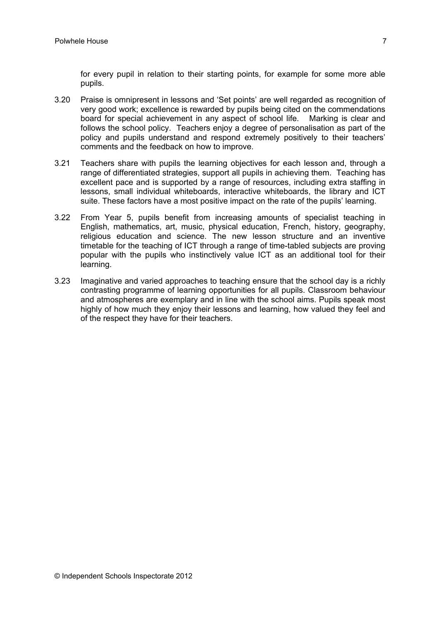for every pupil in relation to their starting points, for example for some more able pupils.

- 3.20 Praise is omnipresent in lessons and 'Set points' are well regarded as recognition of very good work; excellence is rewarded by pupils being cited on the commendations board for special achievement in any aspect of school life. Marking is clear and follows the school policy. Teachers enjoy a degree of personalisation as part of the policy and pupils understand and respond extremely positively to their teachers' comments and the feedback on how to improve.
- 3.21 Teachers share with pupils the learning objectives for each lesson and, through a range of differentiated strategies, support all pupils in achieving them. Teaching has excellent pace and is supported by a range of resources, including extra staffing in lessons, small individual whiteboards, interactive whiteboards, the library and ICT suite. These factors have a most positive impact on the rate of the pupils' learning.
- 3.22 From Year 5, pupils benefit from increasing amounts of specialist teaching in English, mathematics, art, music, physical education, French, history, geography, religious education and science. The new lesson structure and an inventive timetable for the teaching of ICT through a range of time-tabled subjects are proving popular with the pupils who instinctively value ICT as an additional tool for their learning.
- 3.23 Imaginative and varied approaches to teaching ensure that the school day is a richly contrasting programme of learning opportunities for all pupils. Classroom behaviour and atmospheres are exemplary and in line with the school aims. Pupils speak most highly of how much they enjoy their lessons and learning, how valued they feel and of the respect they have for their teachers.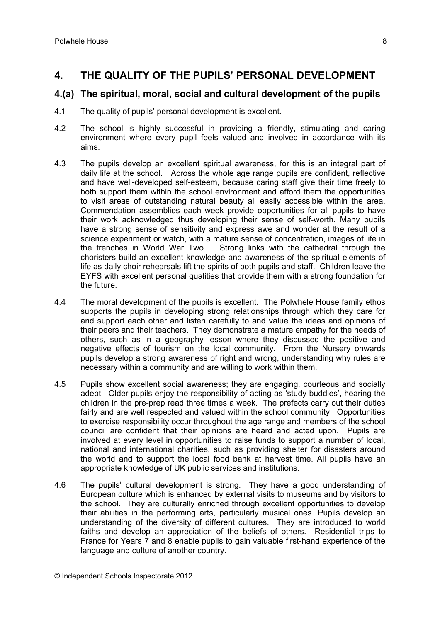## **4. THE QUALITY OF THE PUPILS' PERSONAL DEVELOPMENT**

#### **4.(a) The spiritual, moral, social and cultural development of the pupils**

- 4.1 The quality of pupils' personal development is excellent.
- 4.2 The school is highly successful in providing a friendly, stimulating and caring environment where every pupil feels valued and involved in accordance with its aims.
- 4.3 The pupils develop an excellent spiritual awareness, for this is an integral part of daily life at the school. Across the whole age range pupils are confident, reflective and have well-developed self-esteem, because caring staff give their time freely to both support them within the school environment and afford them the opportunities to visit areas of outstanding natural beauty all easily accessible within the area. Commendation assemblies each week provide opportunities for all pupils to have their work acknowledged thus developing their sense of self-worth. Many pupils have a strong sense of sensitivity and express awe and wonder at the result of a science experiment or watch, with a mature sense of concentration, images of life in the trenches in World War Two. Strong links with the cathedral through the choristers build an excellent knowledge and awareness of the spiritual elements of life as daily choir rehearsals lift the spirits of both pupils and staff. Children leave the EYFS with excellent personal qualities that provide them with a strong foundation for the future.
- 4.4 The moral development of the pupils is excellent. The Polwhele House family ethos supports the pupils in developing strong relationships through which they care for and support each other and listen carefully to and value the ideas and opinions of their peers and their teachers. They demonstrate a mature empathy for the needs of others, such as in a geography lesson where they discussed the positive and negative effects of tourism on the local community. From the Nursery onwards pupils develop a strong awareness of right and wrong, understanding why rules are necessary within a community and are willing to work within them.
- 4.5 Pupils show excellent social awareness; they are engaging, courteous and socially adept. Older pupils enjoy the responsibility of acting as 'study buddies', hearing the children in the pre-prep read three times a week. The prefects carry out their duties fairly and are well respected and valued within the school community. Opportunities to exercise responsibility occur throughout the age range and members of the school council are confident that their opinions are heard and acted upon. Pupils are involved at every level in opportunities to raise funds to support a number of local, national and international charities, such as providing shelter for disasters around the world and to support the local food bank at harvest time. All pupils have an appropriate knowledge of UK public services and institutions.
- 4.6 The pupils' cultural development is strong. They have a good understanding of European culture which is enhanced by external visits to museums and by visitors to the school. They are culturally enriched through excellent opportunities to develop their abilities in the performing arts, particularly musical ones. Pupils develop an understanding of the diversity of different cultures. They are introduced to world faiths and develop an appreciation of the beliefs of others. Residential trips to France for Years 7 and 8 enable pupils to gain valuable first-hand experience of the language and culture of another country.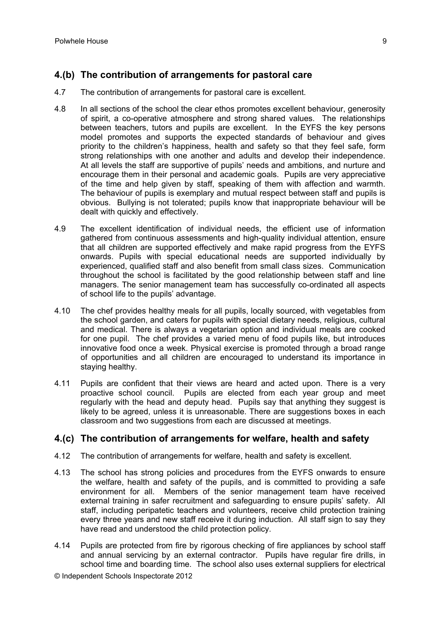## **4.(b) The contribution of arrangements for pastoral care**

- 4.7 The contribution of arrangements for pastoral care is excellent.
- 4.8 In all sections of the school the clear ethos promotes excellent behaviour, generosity of spirit, a co-operative atmosphere and strong shared values. The relationships between teachers, tutors and pupils are excellent. In the EYFS the key persons model promotes and supports the expected standards of behaviour and gives priority to the children's happiness, health and safety so that they feel safe, form strong relationships with one another and adults and develop their independence. At all levels the staff are supportive of pupils' needs and ambitions, and nurture and encourage them in their personal and academic goals. Pupils are very appreciative of the time and help given by staff, speaking of them with affection and warmth. The behaviour of pupils is exemplary and mutual respect between staff and pupils is obvious. Bullying is not tolerated; pupils know that inappropriate behaviour will be dealt with quickly and effectively.
- 4.9 The excellent identification of individual needs, the efficient use of information gathered from continuous assessments and high-quality individual attention, ensure that all children are supported effectively and make rapid progress from the EYFS onwards. Pupils with special educational needs are supported individually by experienced, qualified staff and also benefit from small class sizes. Communication throughout the school is facilitated by the good relationship between staff and line managers. The senior management team has successfully co-ordinated all aspects of school life to the pupils' advantage.
- 4.10 The chef provides healthy meals for all pupils, locally sourced, with vegetables from the school garden, and caters for pupils with special dietary needs, religious, cultural and medical. There is always a vegetarian option and individual meals are cooked for one pupil. The chef provides a varied menu of food pupils like, but introduces innovative food once a week. Physical exercise is promoted through a broad range of opportunities and all children are encouraged to understand its importance in staying healthy.
- 4.11 Pupils are confident that their views are heard and acted upon. There is a very proactive school council. Pupils are elected from each year group and meet regularly with the head and deputy head. Pupils say that anything they suggest is likely to be agreed, unless it is unreasonable. There are suggestions boxes in each classroom and two suggestions from each are discussed at meetings.

## **4.(c) The contribution of arrangements for welfare, health and safety**

- 4.12 The contribution of arrangements for welfare, health and safety is excellent.
- 4.13 The school has strong policies and procedures from the EYFS onwards to ensure the welfare, health and safety of the pupils, and is committed to providing a safe environment for all. Members of the senior management team have received external training in safer recruitment and safeguarding to ensure pupils' safety. All staff, including peripatetic teachers and volunteers, receive child protection training every three years and new staff receive it during induction. All staff sign to say they have read and understood the child protection policy.
- 4.14 Pupils are protected from fire by rigorous checking of fire appliances by school staff and annual servicing by an external contractor. Pupils have regular fire drills, in school time and boarding time. The school also uses external suppliers for electrical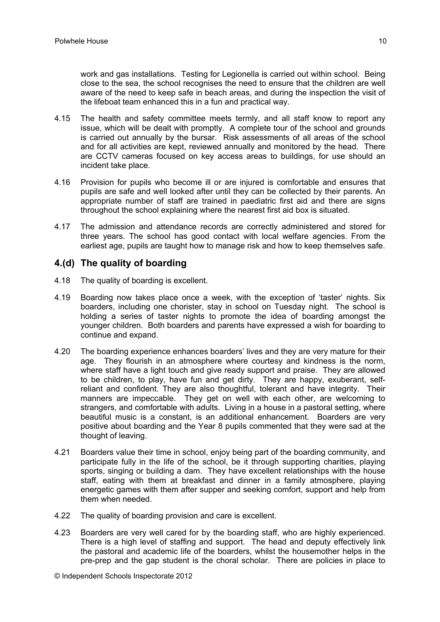work and gas installations. Testing for Legionella is carried out within school. Being close to the sea, the school recognises the need to ensure that the children are well aware of the need to keep safe in beach areas, and during the inspection the visit of the lifeboat team enhanced this in a fun and practical way.

- 4.15 The health and safety committee meets termly, and all staff know to report any issue, which will be dealt with promptly. A complete tour of the school and grounds is carried out annually by the bursar. Risk assessments of all areas of the school and for all activities are kept, reviewed annually and monitored by the head. There are CCTV cameras focused on key access areas to buildings, for use should an incident take place.
- 4.16 Provision for pupils who become ill or are injured is comfortable and ensures that pupils are safe and well looked after until they can be collected by their parents. An appropriate number of staff are trained in paediatric first aid and there are signs throughout the school explaining where the nearest first aid box is situated.
- 4.17 The admission and attendance records are correctly administered and stored for three years. The school has good contact with local welfare agencies. From the earliest age, pupils are taught how to manage risk and how to keep themselves safe.

## **4.(d) The quality of boarding**

- 4.18 The quality of boarding is excellent.
- 4.19 Boarding now takes place once a week, with the exception of 'taster' nights. Six boarders, including one chorister, stay in school on Tuesday night. The school is holding a series of taster nights to promote the idea of boarding amongst the younger children. Both boarders and parents have expressed a wish for boarding to continue and expand.
- 4.20 The boarding experience enhances boarders' lives and they are very mature for their age. They flourish in an atmosphere where courtesy and kindness is the norm, where staff have a light touch and give ready support and praise. They are allowed to be children, to play, have fun and get dirty. They are happy, exuberant, selfreliant and confident. They are also thoughtful, tolerant and have integrity. Their manners are impeccable. They get on well with each other, are welcoming to strangers, and comfortable with adults. Living in a house in a pastoral setting, where beautiful music is a constant, is an additional enhancement. Boarders are very positive about boarding and the Year 8 pupils commented that they were sad at the thought of leaving.
- 4.21 Boarders value their time in school, enjoy being part of the boarding community, and participate fully in the life of the school, be it through supporting charities, playing sports, singing or building a dam. They have excellent relationships with the house staff, eating with them at breakfast and dinner in a family atmosphere, playing energetic games with them after supper and seeking comfort, support and help from them when needed.
- 4.22 The quality of boarding provision and care is excellent.
- 4.23 Boarders are very well cared for by the boarding staff, who are highly experienced. There is a high level of staffing and support. The head and deputy effectively link the pastoral and academic life of the boarders, whilst the housemother helps in the pre-prep and the gap student is the choral scholar. There are policies in place to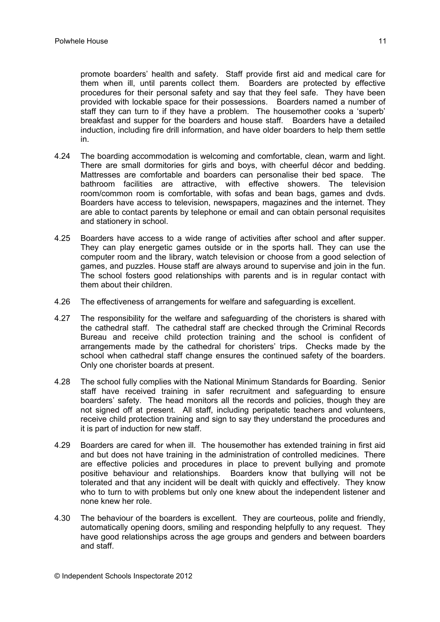promote boarders' health and safety. Staff provide first aid and medical care for them when ill, until parents collect them. Boarders are protected by effective procedures for their personal safety and say that they feel safe. They have been provided with lockable space for their possessions. Boarders named a number of staff they can turn to if they have a problem. The housemother cooks a 'superb' breakfast and supper for the boarders and house staff. Boarders have a detailed induction, including fire drill information, and have older boarders to help them settle in.

- 4.24 The boarding accommodation is welcoming and comfortable, clean, warm and light. There are small dormitories for girls and boys, with cheerful décor and bedding. Mattresses are comfortable and boarders can personalise their bed space. The bathroom facilities are attractive, with effective showers. The television room/common room is comfortable, with sofas and bean bags, games and dvds. Boarders have access to television, newspapers, magazines and the internet. They are able to contact parents by telephone or email and can obtain personal requisites and stationery in school.
- 4.25 Boarders have access to a wide range of activities after school and after supper. They can play energetic games outside or in the sports hall. They can use the computer room and the library, watch television or choose from a good selection of games, and puzzles. House staff are always around to supervise and join in the fun. The school fosters good relationships with parents and is in regular contact with them about their children.
- 4.26 The effectiveness of arrangements for welfare and safeguarding is excellent.
- 4.27 The responsibility for the welfare and safeguarding of the choristers is shared with the cathedral staff. The cathedral staff are checked through the Criminal Records Bureau and receive child protection training and the school is confident of arrangements made by the cathedral for choristers' trips. Checks made by the school when cathedral staff change ensures the continued safety of the boarders. Only one chorister boards at present.
- 4.28 The school fully complies with the National Minimum Standards for Boarding. Senior staff have received training in safer recruitment and safeguarding to ensure boarders' safety. The head monitors all the records and policies, though they are not signed off at present. All staff, including peripatetic teachers and volunteers, receive child protection training and sign to say they understand the procedures and it is part of induction for new staff.
- 4.29 Boarders are cared for when ill. The housemother has extended training in first aid and but does not have training in the administration of controlled medicines. There are effective policies and procedures in place to prevent bullying and promote positive behaviour and relationships. Boarders know that bullying will not be tolerated and that any incident will be dealt with quickly and effectively. They know who to turn to with problems but only one knew about the independent listener and none knew her role.
- 4.30 The behaviour of the boarders is excellent. They are courteous, polite and friendly, automatically opening doors, smiling and responding helpfully to any request. They have good relationships across the age groups and genders and between boarders and staff.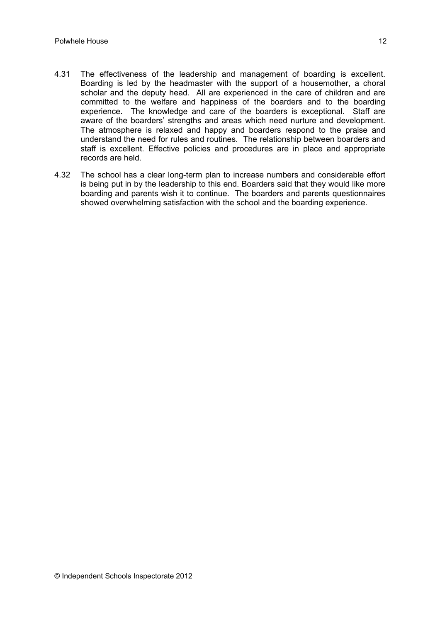- 4.31 The effectiveness of the leadership and management of boarding is excellent. Boarding is led by the headmaster with the support of a housemother, a choral scholar and the deputy head. All are experienced in the care of children and are committed to the welfare and happiness of the boarders and to the boarding experience. The knowledge and care of the boarders is exceptional. Staff are aware of the boarders' strengths and areas which need nurture and development. The atmosphere is relaxed and happy and boarders respond to the praise and understand the need for rules and routines. The relationship between boarders and staff is excellent. Effective policies and procedures are in place and appropriate records are held.
- 4.32 The school has a clear long-term plan to increase numbers and considerable effort is being put in by the leadership to this end. Boarders said that they would like more boarding and parents wish it to continue. The boarders and parents questionnaires showed overwhelming satisfaction with the school and the boarding experience.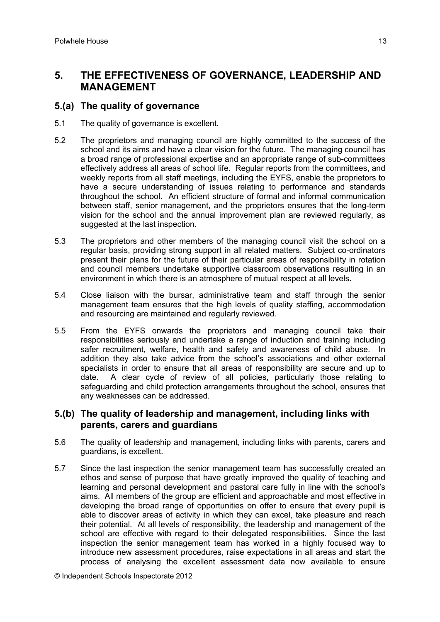## **5. THE EFFECTIVENESS OF GOVERNANCE, LEADERSHIP AND MANAGEMENT**

#### **5.(a) The quality of governance**

- 5.1 The quality of governance is excellent.
- 5.2 The proprietors and managing council are highly committed to the success of the school and its aims and have a clear vision for the future. The managing council has a broad range of professional expertise and an appropriate range of sub-committees effectively address all areas of school life. Regular reports from the committees, and weekly reports from all staff meetings, including the EYFS, enable the proprietors to have a secure understanding of issues relating to performance and standards throughout the school. An efficient structure of formal and informal communication between staff, senior management, and the proprietors ensures that the long-term vision for the school and the annual improvement plan are reviewed regularly, as suggested at the last inspection.
- 5.3 The proprietors and other members of the managing council visit the school on a regular basis, providing strong support in all related matters. Subject co-ordinators present their plans for the future of their particular areas of responsibility in rotation and council members undertake supportive classroom observations resulting in an environment in which there is an atmosphere of mutual respect at all levels.
- 5.4 Close liaison with the bursar, administrative team and staff through the senior management team ensures that the high levels of quality staffing, accommodation and resourcing are maintained and regularly reviewed.
- 5.5 From the EYFS onwards the proprietors and managing council take their responsibilities seriously and undertake a range of induction and training including safer recruitment, welfare, health and safety and awareness of child abuse. In addition they also take advice from the school's associations and other external specialists in order to ensure that all areas of responsibility are secure and up to date. A clear cycle of review of all policies, particularly those relating to safeguarding and child protection arrangements throughout the school, ensures that any weaknesses can be addressed.

#### **5.(b) The quality of leadership and management, including links with parents, carers and guardians**

- 5.6 The quality of leadership and management, including links with parents, carers and guardians, is excellent.
- 5.7 Since the last inspection the senior management team has successfully created an ethos and sense of purpose that have greatly improved the quality of teaching and learning and personal development and pastoral care fully in line with the school's aims. All members of the group are efficient and approachable and most effective in developing the broad range of opportunities on offer to ensure that every pupil is able to discover areas of activity in which they can excel, take pleasure and reach their potential. At all levels of responsibility, the leadership and management of the school are effective with regard to their delegated responsibilities. Since the last inspection the senior management team has worked in a highly focused way to introduce new assessment procedures, raise expectations in all areas and start the process of analysing the excellent assessment data now available to ensure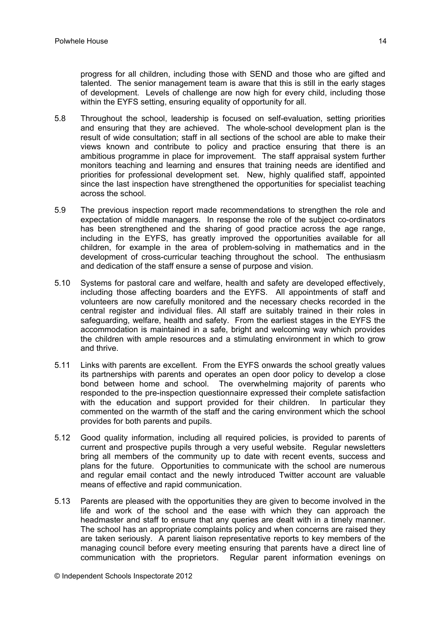progress for all children, including those with SEND and those who are gifted and talented. The senior management team is aware that this is still in the early stages of development. Levels of challenge are now high for every child, including those within the EYFS setting, ensuring equality of opportunity for all.

- 5.8 Throughout the school, leadership is focused on self-evaluation, setting priorities and ensuring that they are achieved. The whole-school development plan is the result of wide consultation; staff in all sections of the school are able to make their views known and contribute to policy and practice ensuring that there is an ambitious programme in place for improvement. The staff appraisal system further monitors teaching and learning and ensures that training needs are identified and priorities for professional development set. New, highly qualified staff, appointed since the last inspection have strengthened the opportunities for specialist teaching across the school.
- 5.9 The previous inspection report made recommendations to strengthen the role and expectation of middle managers. In response the role of the subject co-ordinators has been strengthened and the sharing of good practice across the age range, including in the EYFS, has greatly improved the opportunities available for all children, for example in the area of problem-solving in mathematics and in the development of cross-curricular teaching throughout the school. The enthusiasm and dedication of the staff ensure a sense of purpose and vision.
- 5.10 Systems for pastoral care and welfare, health and safety are developed effectively, including those affecting boarders and the EYFS. All appointments of staff and volunteers are now carefully monitored and the necessary checks recorded in the central register and individual files. All staff are suitably trained in their roles in safeguarding, welfare, health and safety. From the earliest stages in the EYFS the accommodation is maintained in a safe, bright and welcoming way which provides the children with ample resources and a stimulating environment in which to grow and thrive.
- 5.11 Links with parents are excellent. From the EYFS onwards the school greatly values its partnerships with parents and operates an open door policy to develop a close bond between home and school. The overwhelming majority of parents who responded to the pre-inspection questionnaire expressed their complete satisfaction with the education and support provided for their children. In particular they commented on the warmth of the staff and the caring environment which the school provides for both parents and pupils.
- 5.12 Good quality information, including all required policies, is provided to parents of current and prospective pupils through a very useful website. Regular newsletters bring all members of the community up to date with recent events, success and plans for the future. Opportunities to communicate with the school are numerous and regular email contact and the newly introduced Twitter account are valuable means of effective and rapid communication.
- 5.13 Parents are pleased with the opportunities they are given to become involved in the life and work of the school and the ease with which they can approach the headmaster and staff to ensure that any queries are dealt with in a timely manner. The school has an appropriate complaints policy and when concerns are raised they are taken seriously. A parent liaison representative reports to key members of the managing council before every meeting ensuring that parents have a direct line of communication with the proprietors. Regular parent information evenings on